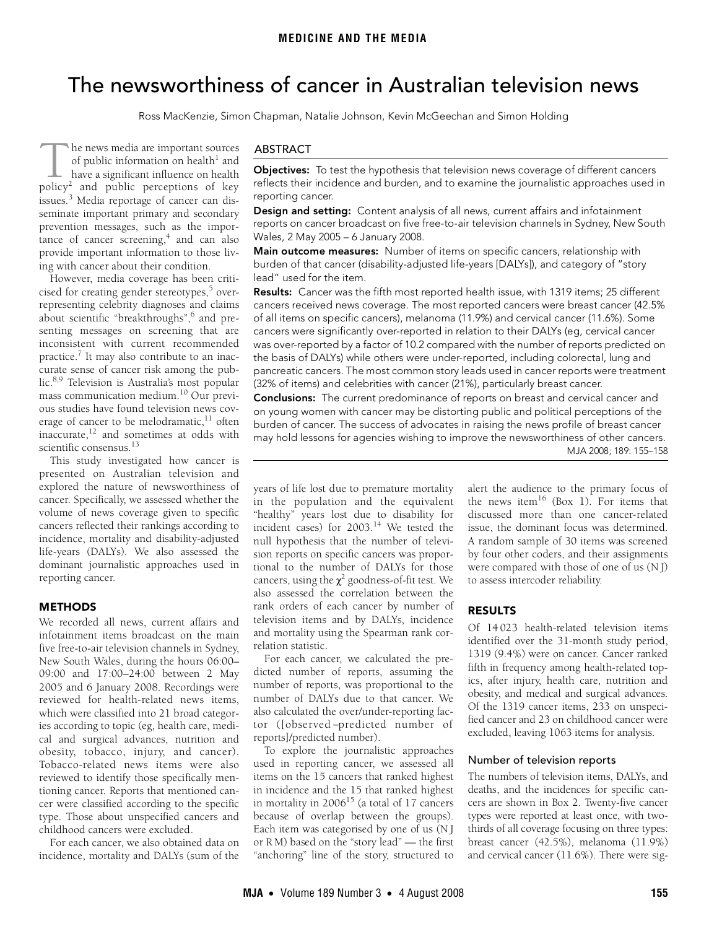# <span id="page-0-0"></span>The newsworthiness of cancer in Australian television news

Ross MacKenzie, Simon Chapman, Natalie Johnson, Kevin McGeechan and Simon Holding

he news media are important sources of public information on health $^1$  $^1$  and have a significant influence on health The news media are important sources<br>of public information on health<sup>1</sup> and<br>have a significant influence on health<br>policy<sup>2</sup> and public perceptions of key issues.<sup>[3](#page-3-2)</sup> Media reportage of cancer can disseminate important primary and secondary prevention messages, such as the importance of cancer screening,<sup>4</sup> and can also provide important information to those living with cancer about their condition.

g wun cancer about men condition.<br>However, media coverage has been [criti](#page-0-0)wever, include coverage has been chin[cised for](#page-3-16) creating gender stereotypes,<sup>[5](#page-3-4)</sup> overrepresenting celebrity diagnoses and claims about scientific "breakthroughs",<sup>6</sup> and presenting messages on screening that are inconsistent with current recommended practice.<sup>7</sup> It may also contribute to an inaccurate sense of cancer risk among the public[.8](#page-3-7)[,9](#page-3-8) Television is Australia's most popular mass communication medium.[10](#page-3-9) Our previous studies have found television news coverage of cancer to be melodramatic, $^{11}$  often inaccurate[,12](#page-3-11) and sometimes at odds with scientific consensus.<sup>[13](#page-3-12)</sup>

This study investigated how cancer is presented on Australian television and explored the nature of newsworthiness of cancer. Specifically, we assessed whether the volume of news coverage given to specific cancers reflected their rankings according to incidence, mortality and disability-adjusted life-years (DALYs). We also assessed the dominant journalistic approaches used in reporting cancer.

## METHODS

We recorded all news, current affairs and infotainment items broadcast on the main five free-to-air television channels in Sydney, New South Wales, during the hours 06:00– 09:00 and 17:00–24:00 between 2 May 2005 and 6 January 2008. Recordings were reviewed for health-related news items, which were classified into 21 broad categories according to topic (eg, health care, medical and surgical advances, nutrition and obesity, tobacco, injury, and cancer). Tobacco-related news items were also reviewed to identify those specifically mentioning cancer. Reports that mentioned cancer were classified according to the specific type. Those about unspecified cancers and childhood cancers were excluded.

For each cancer, we also obtained data on incidence, mortality and DALYs (sum of the

## ABSTRACT

Objectives: To test the hypothesis that television news coverage of different cancers reflects their incidence and burden, and to examine the journalistic approaches used in reporting cancer.

Design and setting: Content analysis of all news, current affairs and infotainment reports on cancer broadcast on five free-to-air television channels in Sydney, New South Wales, 2 May 2005 – 6 January 2008.

Main outcome measures: Number of items on specific cancers, relationship with burden of that cancer (disability-adjusted life-years [DALYs]), and category of "story lead" used for the item.

Results: Cancer was the fifth most reported health issue, with 1319 items; 25 different cancers received news coverage. The most reported cancers were breast cancer (42.5% of all items on specific cancers), melanoma (11.9%) and cervical cancer (11.6%). Some cancers were significantly over-reported in relation to their DALYs (eg, cervical cancer was over-reported by a factor of 10.2 compared with the number of reports predicted on the basis of DALYs) while others were under-reported, including colorectal, lung and pancreatic cancers. The most common story leads used in cancer reports were treatment (32% of items) and celebrities with cancer (21%), particularly breast cancer.

Conclusions: The current predominance of reports on breast and cervical cancer and on young women with cancer may be distorting public and political perceptions of the burden of cancer. The success of advocates in raising the news profile of breast cancer MJA 2008; 189: 155–158 may hold lessons for agencies wishing to improve the newsworthiness of other cancers.

years of life lost due to premature mortality in the population and the equivalent "healthy" years lost due to disability for incident cases) for  $2003.^{14}$  We tested the null hypothesis that the number of television reports on specific cancers was proportional to the number of DALYs for those cancers, using the  $\chi^2$  goodness-of-fit test. We also assessed the correlation between the rank orders of each cancer by number of television items and by DALYs, incidence and mortality using the Spearman rank correlation statistic.

For each cancer, we calculated the predicted number of reports, assuming the number of reports, was proportional to the number of DALYs due to that cancer. We also calculated the over/under-reporting factor ([observed −predicted number of reports]/predicted number).

To explore the journalistic approaches used in reporting cancer, we assessed all items on the 15 cancers that ranked highest in incidence and the 15 that ranked highest in mortality in  $2006^{15}$  (a total of 17 cancers because of overlap between the groups). Each item was categorised by one of us (N J or R M) based on the "story lead" — the first "anchoring" line of the story, structured to

alert the audience to the primary focus of the news item<sup>[16](#page-3-15)</sup> (Box 1). For items that discussed more than one cancer-related issue, the dominant focus was determined. A random sample of 30 items was screened by four other coders, and their assignments were compared with those of one of us (NJ) to assess intercoder reliability.

# RESULTS

Of 14 023 health-related television items identified over the 31-month study period, 1319 (9.4%) were on cancer. Cancer ranked fifth in frequency among health-related topics, after injury, health care, nutrition and obesity, and medical and surgical advances. Of the 1319 cancer items, 233 on unspecified cancer and 23 on childhood cancer were excluded, leaving 1063 items for analysis.

#### Number of television reports

The numbers of television items, DALYs, and deaths, and the incidences for specific cancers are shown in Box 2. Twenty-five cancer types were reported at least once, with twothirds of all coverage focusing on three types: breast cancer (42.5%), melanoma (11.9%) and cervical cancer (11.6%). There were sig-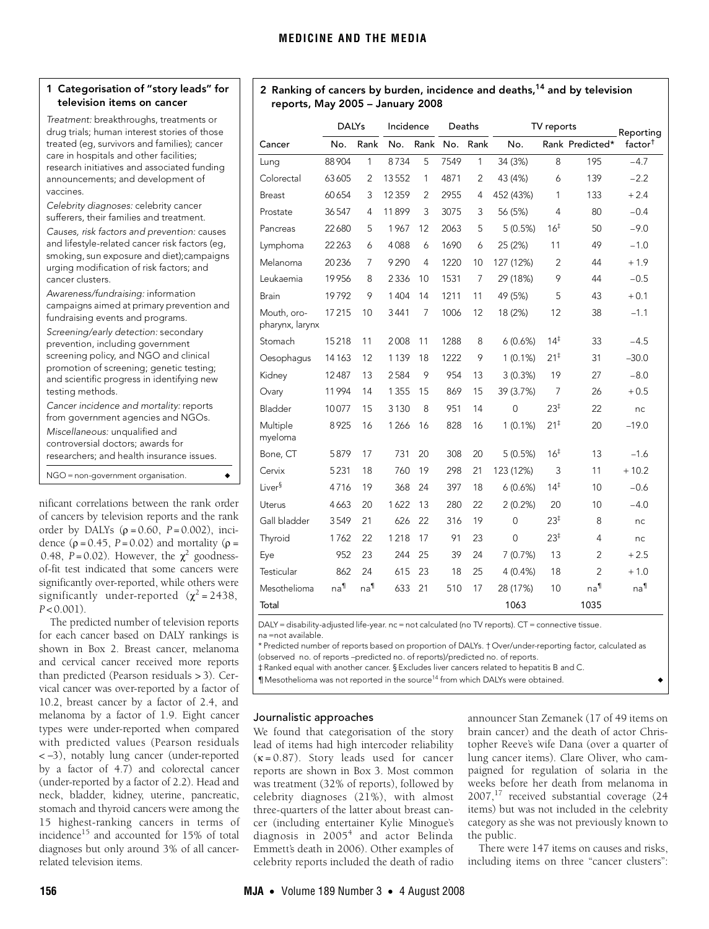## 1 Categorisation of "story leads" for television items on cancer

Treatment: breakthroughs, treatments or drug trials; human interest stories of those treated (eg, survivors and families); cancer care in hospitals and other facilities; research initiatives and associated funding announcements; and development of vaccines.

Celebrity diagnoses: celebrity cancer sufferers, their families and treatment.

| Causes, risk factors and prevention: causes<br>and lifestyle-related cancer risk factors (eq,<br>smoking, sun exposure and diet); campaigns<br>urging modification of risk factors; and<br>cancer clusters.                      |
|----------------------------------------------------------------------------------------------------------------------------------------------------------------------------------------------------------------------------------|
| Awareness/fundraising: information<br>campaigns aimed at primary prevention and<br>fundraising events and programs.                                                                                                              |
| Screening/early detection: secondary<br>prevention, including government<br>screening policy, and NGO and clinical<br>promotion of screening; genetic testing;<br>and scientific progress in identifying new<br>testing methods. |
| Cancer incidence and mortality: reports<br>from government agencies and NGOs.<br>Miscellaneous: unqualified and<br>controversial doctors; awards for<br>researchers; and health insurance issues.                                |
| NGO = non-government organisation.                                                                                                                                                                                               |

nificant correlations between the rank order of cancers by television reports and the rank order by DALYs (ρ = 0.60, *P* = 0.002), incidence  $(\rho = 0.45, P = 0.02)$  and mortality  $(\rho =$ 0.48,  $P = 0.02$ ). However, the  $\chi^2$  goodnessof-fit test indicated that some cancers were significantly over-reported, while others were significantly under-reported  $(\chi^2 = 2438,$ *P* < 0.001).

The predicted number of television reports for each cancer based on DALY rankings is shown in Box 2. Breast cancer, melanoma and cervical cancer received more reports than predicted (Pearson residuals > 3). Cervical cancer was over-reported by a factor of 10.2, breast cancer by a factor of 2.4, and melanoma by a factor of 1.9. Eight cancer types were under-reported when compared with predicted values (Pearson residuals < −3), notably lung cancer (under-reported by a factor of 4.7) and colorectal cancer (under-reported by a factor of 2.2). Head and neck, bladder, kidney, uterine, pancreatic, stomach and thyroid cancers were among the 15 highest-ranking cancers in terms of incidence<sup>15</sup> and accounted for 15% of total diagnoses but only around 3% of all cancerrelated television items.

# 2 Ranking of cancers by burden, incidence and deaths,<sup>[14](#page-3-13)</sup> and by television reports, May 2005 – January 2008

|                                | <b>DALYs</b>    |              | Incidence |                | Deaths |                | TV reports     | Reporting       |                 |                     |
|--------------------------------|-----------------|--------------|-----------|----------------|--------|----------------|----------------|-----------------|-----------------|---------------------|
| Cancer                         | No.             | Rank         | No.       | Rank           | No.    | Rank           | No.            |                 | Rank Predicted* | factor <sup>†</sup> |
| Lung                           | 88 904          | $\mathbf{1}$ | 8734      | 5              | 7549   | $\mathbf{1}$   | 34 (3%)        | 8               | 195             | $-4.7$              |
| Colorectal                     | 63605           | 2            | 13552     | 1              | 4871   | 2              | 43 (4%)        | 6               | 139             | $-2.2$              |
| <b>Breast</b>                  | 60654           | 3            | 12359     | 2              | 2955   | 4              | 452 (43%)      | 1               | 133             | $+2.4$              |
| Prostate                       | 36547           | 4            | 11899     | 3              | 3075   | 3              | 56 (5%)        | 4               | 80              | $-0.4$              |
| Pancreas                       | 22680           | 5            | 1967      | 12             | 2063   | 5              | 5(0.5%)        | 16 <sup>‡</sup> | 50              | $-9.0$              |
| Lymphoma                       | 22 2 63         | 6            | 4088      | 6              | 1690   | 6              | 25 (2%)        | 11              | 49              | $-1.0$              |
| Melanoma                       | 20236           | 7            | 9290      | 4              | 1220   | 10             | 127 (12%)      | $\overline{2}$  | 44              | $+1.9$              |
| Leukaemia                      | 19956           | 8            | 2336      | 10             | 1531   | $\overline{7}$ | 29 (18%)       | 9               | 44              | $-0.5$              |
| Brain                          | 19792           | 9            | 1404      | 14             | 1211   | 11             | 49 (5%)        | 5               | 43              | $+0.1$              |
| Mouth, oro-<br>pharynx, larynx | 17215           | 10           | 3441      | $\overline{7}$ | 1006   | 12             | 18 (2%)        | 12              | 38              | $-1.1$              |
| Stomach                        | 15218           | 11           | 2008      | 11             | 1288   | 8              | 6(0.6%)        | $14^{\ddagger}$ | 33              | $-4.5$              |
| Oesophaqus                     | 14 1 63         | 12           | 1139      | 18             | 1222   | 9              | $1(0.1\%)$     | $21^{\ddagger}$ | 31              | $-30.0$             |
| Kidney                         | 12487           | 13           | 2584      | 9              | 954    | 13             | 3(0.3%)        | 19              | 27              | $-8.0$              |
| Ovary                          | 11994           | 14           | 1 3 5 5   | 15             | 869    | 15             | 39 (3.7%)      | $\overline{7}$  | 26              | $+0.5$              |
| Bladder                        | 10077           | 15           | 3130      | 8              | 951    | 14             | $\overline{0}$ | $23^{\ddagger}$ | 22              | nc                  |
| Multiple<br>myeloma            | 8925            | 16           | 1266      | 16             | 828    | 16             | $1(0.1\%)$     | $21^{\ddagger}$ | 20              | $-19.0$             |
| Bone, CT                       | 5879            | 17           | 731       | 20             | 308    | 20             | 5(0.5%)        | 16 <sup>‡</sup> | 13              | $-1.6$              |
| Cervix                         | 5231            | 18           | 760       | 19             | 298    | 21             | 123 (12%)      | 3               | 11              | $+10.2$             |
| Liver <sup>§</sup>             | 4716            | 19           | 368       | 24             | 397    | 18             | 6(0.6%)        | $14^{\ddagger}$ | 10              | $-0.6$              |
| Uterus                         | 4663            | 20           | 1622      | 13             | 280    | 22             | 2(0.2%)        | 20              | 10              | $-4.0$              |
| Gall bladder                   | 3549            | 21           | 626       | 22             | 316    | 19             | $\overline{0}$ | $23^{\ddagger}$ | 8               | nc                  |
| Thyroid                        | 1762            | 22           | 1218      | 17             | 91     | 23             | 0              | 23 <sup>‡</sup> | 4               | nc                  |
| Eye                            | 952             | 23           | 244       | 25             | 39     | 24             | 7(0.7%)        | 13              | $\overline{2}$  | $+2.5$              |
| Testicular                     | 862             | 24           | 615       | 23             | 18     | 25             | 4(0.4%         | 18              | $\overline{2}$  | $+1.0$              |
| Mesothelioma                   | na <sup>1</sup> | na¶          | 633       | 21             | 510    | 17             | 28 (17%)       | 10              | na <sup>1</sup> | $na^{\P}$           |
| Total                          |                 |              |           |                |        |                | 1063           |                 | 1035            |                     |

DALY = disability-adjusted life-year. nc = not calculated (no TV reports). CT = connective tissue. na =not available.

\* Predicted number of reports based on proportion of DALYs. † Over/under-reporting factor, calculated as (observed no. of reports −predicted no. of reports)/predicted no. of reports.

‡ Ranked equal with another cancer. § Excludes liver cancers related to hepatitis B and C.

¶ Mesothelioma was not reported in the source14 from which DALYs were obtained. ◆

# Journalistic approaches

We found that categorisation of the story lead of items had high intercoder reliability  $(\kappa = 0.87)$ . Story leads used for cancer reports are shown in Box 3. Most common was treatment (32% of reports), followed by celebrity diagnoses (21%), with almost three-quarters of the latter about breast cancer (including entertainer Kylie Minogue's diagnosis in 2005<sup>[4](#page-3-3)</sup> and actor Belinda Emmett's death in 2006). Other examples of celebrity reports included the death of radio

announcer Stan Zemanek (17 of 49 items on brain cancer) and the death of actor Christopher Reeve's wife Dana (over a quarter of lung cancer items). Clare Oliver, who campaigned for regulation of solaria in the weeks before her death from melanoma in 2007,<sup>17</sup> received substantial coverage (24 items) but was not included in the celebrity category as she was not previously known to the public.

There were 147 items on causes and risks, including items on three "cancer clusters":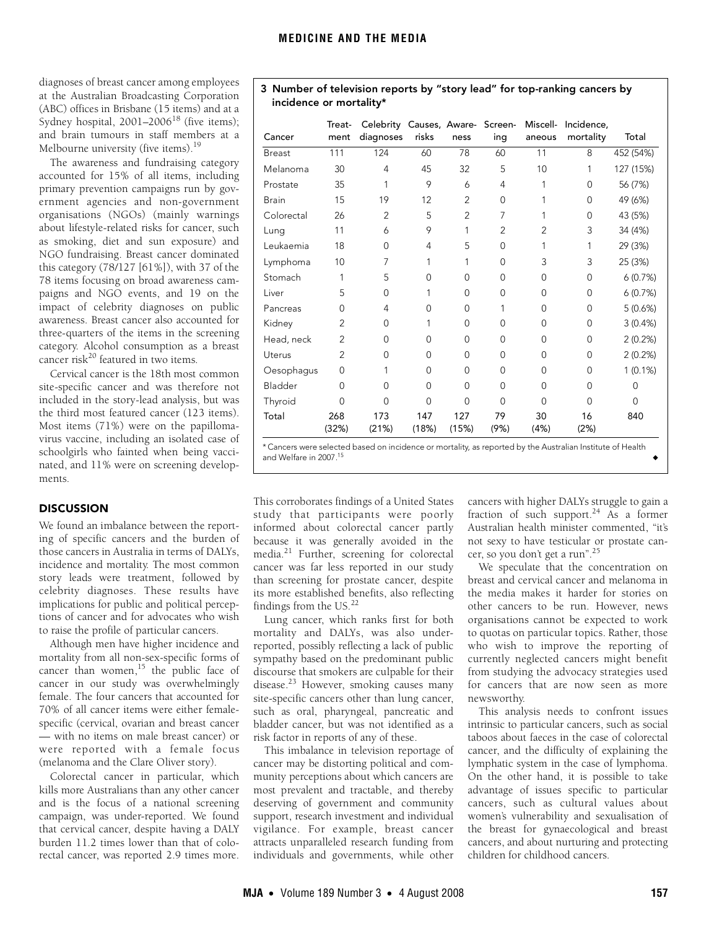diagnoses of breast cancer among employees at the Australian Broadcasting Corporation (ABC) offices in Brisbane (15 items) and at a Sydney hospital,  $2001-2006^{18}$  $2001-2006^{18}$  $2001-2006^{18}$  (five items); and brain tumours in staff members at a Melbourne university (five items).<sup>19</sup>

The awareness and fundraising category accounted for 15% of all items, including primary prevention campaigns run by government agencies and non-government organisations (NGOs) (mainly warnings about lifestyle-related risks for cancer, such as smoking, diet and sun exposure) and NGO fundraising. Breast cancer dominated this category (78/127 [61%]), with 37 of the 78 items focusing on broad awareness campaigns and NGO events, and 19 on the impact of celebrity diagnoses on public awareness. Breast cancer also accounted for three-quarters of the items in the screening category. Alcohol consumption as a breast cancer risk<sup>20</sup> featured in two items.

Cervical cancer is the 18th most common site-specific cancer and was therefore not included in the story-lead analysis, but was the third most featured cancer (123 items). Most items (71%) were on the papillomavirus vaccine, including an isolated case of schoolgirls who fainted when being vaccinated, and 11% were on screening developments.

# **DISCUSSION**

We found an imbalance between the reporting of specific cancers and the burden of those cancers in Australia in terms of DALYs, incidence and mortality. The most common story leads were treatment, followed by celebrity diagnoses. These results have implications for public and political perceptions of cancer and for advocates who wish to raise the profile of particular cancers.

Although men have higher incidence and mortality from all non-sex-specific forms of cancer than women,<sup>15</sup> the public face of cancer in our study was overwhelmingly female. The four cancers that accounted for 70% of all cancer items were either femalespecific (cervical, ovarian and breast cancer — with no items on male breast cancer) or were reported with a female focus (melanoma and the Clare Oliver story).

Colorectal cancer in particular, which kills more Australians than any other cancer and is the focus of a national screening campaign, was under-reported. We found that cervical cancer, despite having a DALY burden 11.2 times lower than that of colorectal cancer, was reported 2.9 times more.

| Cancer        | Treat-<br>ment | Celebrity Causes, Aware- Screen-<br>diagnoses | risks    | ness           | ing            | Miscell-<br>aneous | Incidence,<br>mortality | Total     |
|---------------|----------------|-----------------------------------------------|----------|----------------|----------------|--------------------|-------------------------|-----------|
| <b>Breast</b> | 111            | 124                                           | 60       | 78             | 60             | 11                 | 8                       | 452 (54%) |
| Melanoma      | 30             | 4                                             | 45       | 32             | 5              | 10                 |                         | 127 (15%) |
| Prostate      | 35             |                                               | 9        | 6              | 4              |                    | $\Omega$                | 56 (7%)   |
| <b>Brain</b>  | 15             | 19                                            | 12       | $\overline{2}$ | $\Omega$       |                    | $\Omega$                | 49 (6%)   |
| Colorectal    | 26             | $\overline{2}$                                | 5        | $\overline{2}$ | 7              |                    | $\Omega$                | 43 (5%)   |
| Lung          | 11             | 6                                             | 9        | 1              | $\overline{2}$ | $\overline{2}$     | 3                       | 34 (4%)   |
| Leukaemia     | 18             | 0                                             | 4        | 5              | $\mathbf 0$    |                    |                         | 29 (3%)   |
| Lymphoma      | 10             | 7                                             | 1        | 1              | $\Omega$       | 3                  | 3                       | 25 (3%)   |
| Stomach       |                | 5                                             | $\Omega$ | 0              | $\Omega$       | $\mathbf 0$        | $\Omega$                | 6(0.7%)   |
| Liver         | 5              | 0                                             |          | $\Omega$       | $\Omega$       | $\Omega$           | $\Omega$                | 6(0.7%)   |
| Pancreas      | 0              | 4                                             | $\Omega$ | 0              |                | $\mathbf 0$        | $\Omega$                | 5(0.6%)   |
| Kidney        | $\overline{2}$ | $\Omega$                                      |          | $\Omega$       | $\Omega$       | $\Omega$           | $\Omega$                | 3(0.4%)   |
| Head, neck    | 2              | 0                                             | 0        | 0              | 0              | 0                  | $\Omega$                | 2(0.2%)   |

Uterus 2 0 0 0 0 0 0 2 (0.2%) Oesophagus 0 1 0 0 0 0 0 1 (0.1%) Bladder 0 0 0 0 0 0 0 0 Thyroid 0 0 0 0 0 0 0 0

> 127 (15%)

\* Cancers were selected based on incidence or mortality, as reported by the Australian Institute of Health

79 (9%)

30 (4%)

# 3 Number of television reports by "story lead" for top-ranking cancers by incidence or mortality\*

This corroborates findings of a United States study that participants were poorly informed about colorectal cancer partly because it was generally avoided in the media.[21](#page-3-21) Further, screening for colorectal cancer was far less reported in our study than screening for prostate cancer, despite

173 (21%)

147 (18%)

Total 268

and Welfare in 2007.<sup>15</sup>

(32%)

its more established benefits, also reflecting findings from the US.<sup>[22](#page-3-22)</sup> Lung cancer, which ranks first for both mortality and DALYs, was also underreported, possibly reflecting a lack of public sympathy based on the predominant public discourse that smokers are culpable for their disease.<sup>23</sup> However, smoking causes many site-specific cancers other than lung cancer, such as oral, pharyngeal, pancreatic and bladder cancer, but was not identified as a risk factor in reports of any of these.

This imbalance in television reportage of cancer may be distorting political and community perceptions about which cancers are most prevalent and tractable, and thereby deserving of government and community support, research investment and individual vigilance. For example, breast cancer attracts unparalleled research funding from individuals and governments, while other

cancers with higher DALYs struggle to gain a fraction of such support.<sup>24</sup> As a former Australian health minister commented, "it's not sexy to have testicular or prostate cancer, so you don't get a run".[25](#page-3-25)

16 (2%) 840

We speculate that the concentration on breast and cervical cancer and melanoma in the media makes it harder for stories on other cancers to be run. However, news organisations cannot be expected to work to quotas on particular topics. Rather, those who wish to improve the reporting of currently neglected cancers might benefit from studying the advocacy strategies used for cancers that are now seen as more newsworthy.

This analysis needs to confront issues intrinsic to particular cancers, such as social taboos about faeces in the case of colorectal cancer, and the difficulty of explaining the lymphatic system in the case of lymphoma. On the other hand, it is possible to take advantage of issues specific to particular cancers, such as cultural values about women's vulnerability and sexualisation of the breast for gynaecological and breast cancers, and about nurturing and protecting children for childhood cancers.